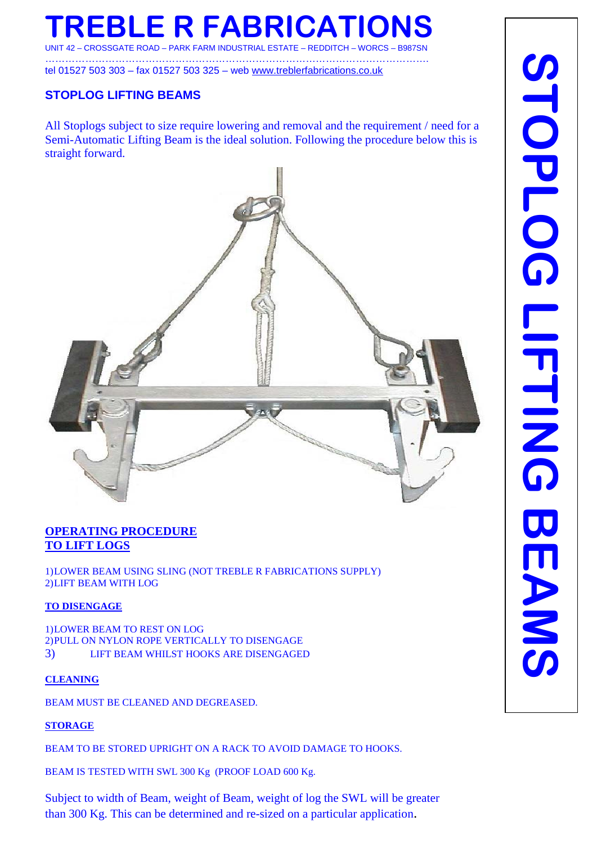# **TREBLE R FABRICATIONS**

UNIT 42 – CROSSGATE ROAD – PARK FARM INDUSTRIAL ESTATE – REDDITCH – WORCS – B987SN …………………………………………………………………………………………………….

tel 01527 503 303 – fax 01527 503 325 – web [www.treblerfabrications.co.uk](http://www.treblerfabrications.co.uk/)

### **STOPLOG LIFTING BEAMS**

All Stoplogs subject to size require lowering and removal and the requirement / need for a Semi-Automatic Lifting Beam is the ideal solution. Following the procedure below this is straight forward.



### **OPERATING PROCEDURE TO LIFT LOGS**

1)LOWER BEAM USING SLING (NOT TREBLE R FABRICATIONS SUPPLY) 2)LIFT BEAM WITH LOG

#### **TO DISENGAGE**

1)LOWER BEAM TO REST ON LOG 2)PULL ON NYLON ROPE VERTICALLY TO DISENGAGE 3) LIFT BEAM WHILST HOOKS ARE DISENGAGED

#### **CLEANING**

BEAM MUST BE CLEANED AND DEGREASED.

#### **STORAGE**

BEAM TO BE STORED UPRIGHT ON A RACK TO AVOID DAMAGE TO HOOKS.

BEAM IS TESTED WITH SWL 300 Kg (PROOF LOAD 600 Kg.

Subject to width of Beam, weight of Beam, weight of log the SWL will be greater than 300 Kg. This can be determined and re-sized on a particular application.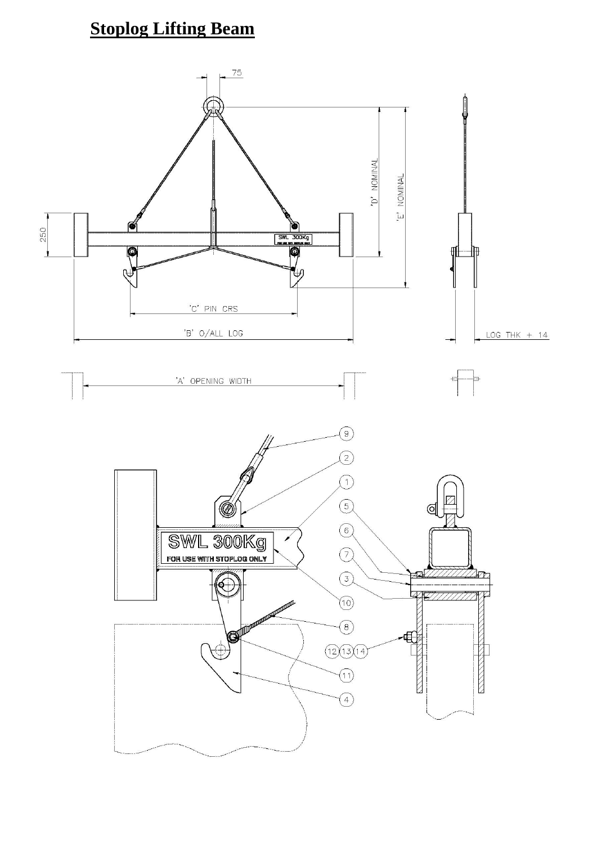### **Stoplog Lifting Beam**

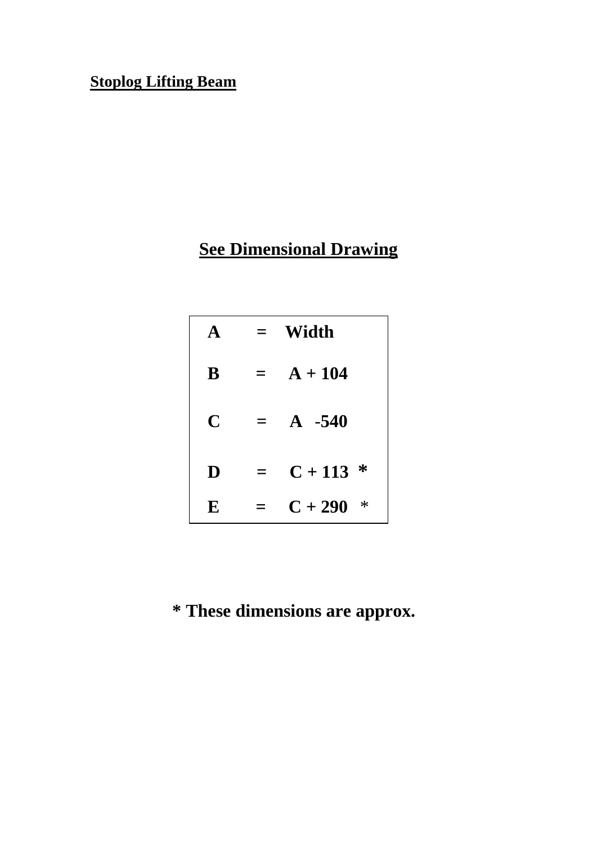### **Stoplog Lifting Beam**

# **See Dimensional Drawing**

| $\blacktriangle$ |     | Width               |
|------------------|-----|---------------------|
| B                | $=$ | $A + 104$           |
| C                | $=$ | $A - 540$           |
| D                | $=$ | $C + 113$ *         |
| E                |     | $C + 290$<br>$\ast$ |

# **\* These dimensions are approx.**